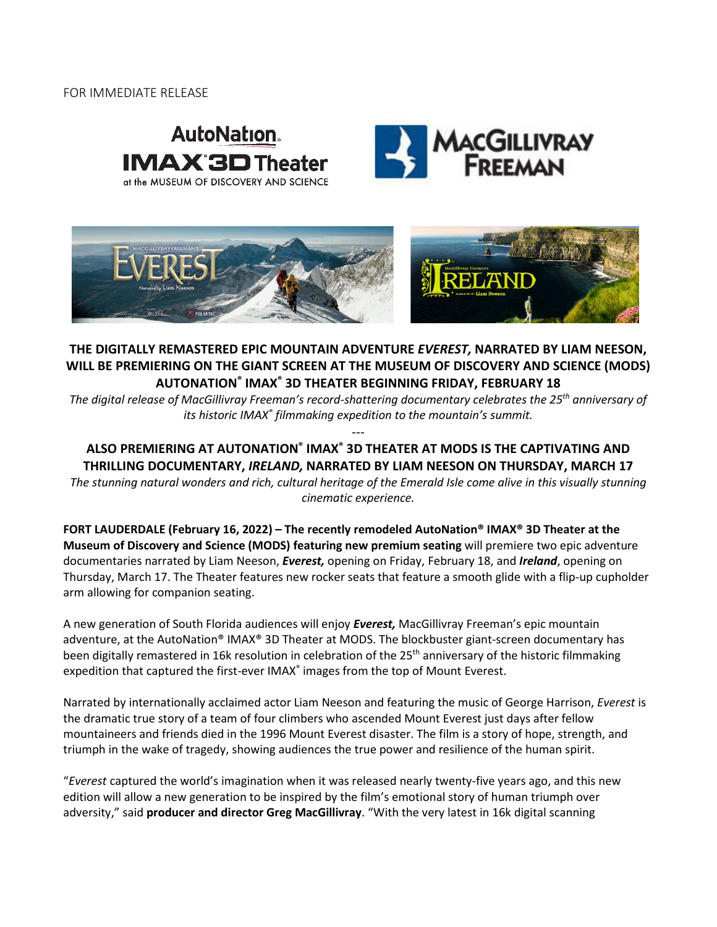### FOR IMMEDIATE RELEASE







## **THE DIGITALLY REMASTERED EPIC MOUNTAIN ADVENTURE** *EVEREST,* **NARRATED BY LIAM NEESON, WILL BE PREMIERING ON THE GIANT SCREEN AT THE MUSEUM OF DISCOVERY AND SCIENCE (MODS) AUTONATION® IMAX® 3D THEATER BEGINNING FRIDAY, FEBRUARY 18**

*The digital release of MacGillivray Freeman's record-shattering documentary celebrates the 25th anniversary of its historic IMAX® filmmaking expedition to the mountain's summit.*

# **ALSO PREMIERING AT AUTONATION® IMAX® 3D THEATER AT MODS IS THE CAPTIVATING AND THRILLING DOCUMENTARY,** *IRELAND,* **NARRATED BY LIAM NEESON ON THURSDAY, MARCH 17**

---

*The stunning natural wonders and rich, cultural heritage of the Emerald Isle come alive in this visually stunning cinematic experience.*

**FORT LAUDERDALE (February 16, 2022) – The recently remodeled AutoNation® IMAX® 3D Theater at the Museum of Discovery and Science (MODS) featuring new premium seating** will premiere two epic adventure documentaries narrated by Liam Neeson, *Everest,* opening on Friday, February 18, and *Ireland*, opening on Thursday, March 17. The Theater features new rocker seats that feature a smooth glide with a flip-up cupholder arm allowing for companion seating.

A new generation of South Florida audiences will enjoy *Everest,* MacGillivray Freeman's epic mountain adventure, at the AutoNation® IMAX® 3D Theater at MODS. The blockbuster giant-screen documentary has been digitally remastered in 16k resolution in celebration of the 25<sup>th</sup> anniversary of the historic filmmaking expedition that captured the first-ever IMAX<sup>®</sup> images from the top of Mount Everest.

Narrated by internationally acclaimed actor Liam Neeson and featuring the music of George Harrison, *Everest* is the dramatic true story of a team of four climbers who ascended Mount Everest just days after fellow mountaineers and friends died in the 1996 Mount Everest disaster. The film is a story of hope, strength, and triumph in the wake of tragedy, showing audiences the true power and resilience of the human spirit.

"*Everest* captured the world's imagination when it was released nearly twenty-five years ago, and this new edition will allow a new generation to be inspired by the film's emotional story of human triumph over adversity," said **producer and director Greg MacGillivray**. "With the very latest in 16k digital scanning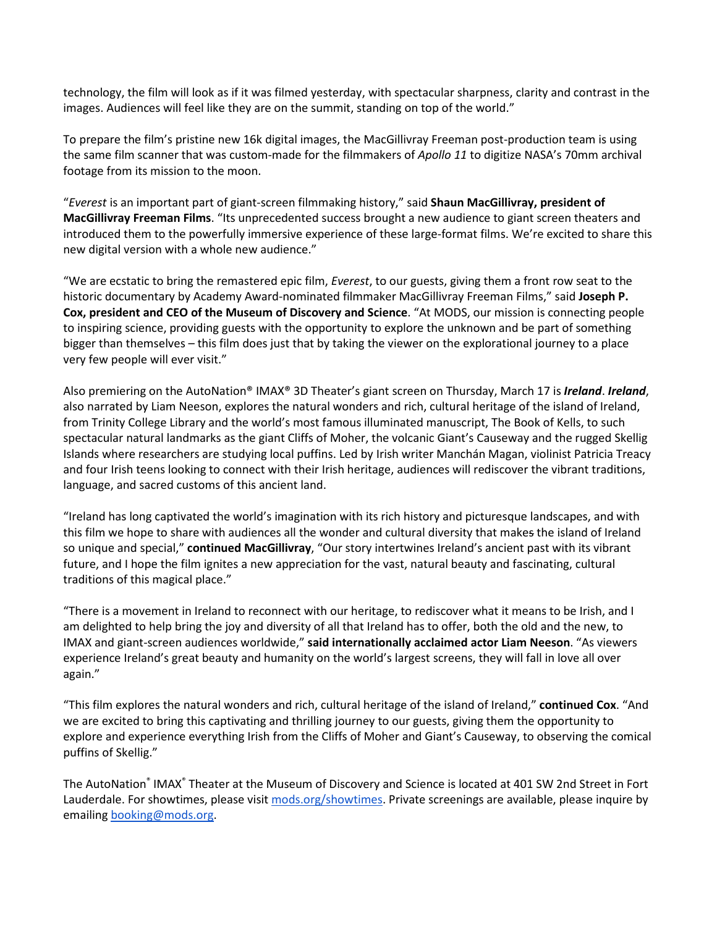technology, the film will look as if it was filmed yesterday, with spectacular sharpness, clarity and contrast in the images. Audiences will feel like they are on the summit, standing on top of the world."

To prepare the film's pristine new 16k digital images, the MacGillivray Freeman post-production team is using the same film scanner that was custom-made for the filmmakers of *Apollo 11* to digitize NASA's 70mm archival footage from its mission to the moon.

"*Everest* is an important part of giant-screen filmmaking history," said **Shaun MacGillivray, president of MacGillivray Freeman Films**. "Its unprecedented success brought a new audience to giant screen theaters and introduced them to the powerfully immersive experience of these large-format films. We're excited to share this new digital version with a whole new audience."

"We are ecstatic to bring the remastered epic film, *Everest*, to our guests, giving them a front row seat to the historic documentary by Academy Award-nominated filmmaker MacGillivray Freeman Films," said **Joseph P. Cox, president and CEO of the Museum of Discovery and Science**. "At MODS, our mission is connecting people to inspiring science, providing guests with the opportunity to explore the unknown and be part of something bigger than themselves – this film does just that by taking the viewer on the explorational journey to a place very few people will ever visit."

Also premiering on the AutoNation® IMAX® 3D Theater's giant screen on Thursday, March 17 is *Ireland*. *Ireland*, also narrated by Liam Neeson, explores the natural wonders and rich, cultural heritage of the island of Ireland, from Trinity College Library and the world's most famous illuminated manuscript, The Book of Kells, to such spectacular natural landmarks as the giant Cliffs of Moher, the volcanic Giant's Causeway and the rugged Skellig Islands where researchers are studying local puffins. Led by Irish writer Manchán Magan, violinist Patricia Treacy and four Irish teens looking to connect with their Irish heritage, audiences will rediscover the vibrant traditions, language, and sacred customs of this ancient land.

"Ireland has long captivated the world's imagination with its rich history and picturesque landscapes, and with this film we hope to share with audiences all the wonder and cultural diversity that makes the island of Ireland so unique and special," **continued MacGillivray**, "Our story intertwines Ireland's ancient past with its vibrant future, and I hope the film ignites a new appreciation for the vast, natural beauty and fascinating, cultural traditions of this magical place."

"There is a movement in Ireland to reconnect with our heritage, to rediscover what it means to be Irish, and I am delighted to help bring the joy and diversity of all that Ireland has to offer, both the old and the new, to IMAX and giant-screen audiences worldwide," **said internationally acclaimed actor Liam Neeson**. "As viewers experience Ireland's great beauty and humanity on the world's largest screens, they will fall in love all over again."

"This film explores the natural wonders and rich, cultural heritage of the island of Ireland," **continued Cox**. "And we are excited to bring this captivating and thrilling journey to our guests, giving them the opportunity to explore and experience everything Irish from the Cliffs of Moher and Giant's Causeway, to observing the comical puffins of Skellig."

The AutoNation® IMAX® Theater at the Museum of Discovery and Science is located at 401 SW 2nd Street in Fort Lauderdale. For showtimes, please visi[t](http://www.mods.org/showtimes) [mods.org/showtimes.](http://www.mods.org/showtimes) Private screenings are available, please inquire by emailing booking@mods.org.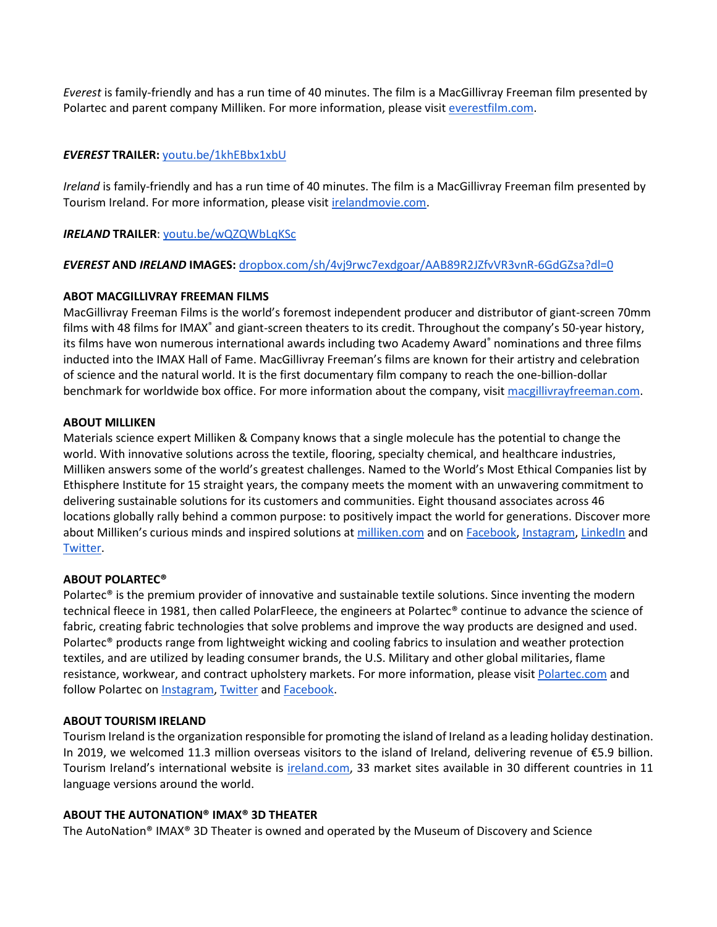*Everest* is family-friendly and has a run time of 40 minutes. The film is a MacGillivray Freeman film presented by Polartec and parent company Milliken. For more information, please visit [everestfilm.com.](https://everestfilm.com/)

#### *EVEREST* **TRAILER:** [youtu.be/1khEBbx1xbU](https://youtu.be/1khEBbx1xbU)

*Ireland* is family-friendly and has a run time of 40 minutes. The film is a MacGillivray Freeman film presented by Tourism Ireland. For more information, please visit [irelandmovie.com.](https://irelandmovie.com/)

#### *IRELAND* **TRAILER**: [youtu.be/wQZQWbLqKSc](https://youtu.be/wQZQWbLqKSc)

#### *EVEREST* **AND** *IRELAND* **IMAGES:** [dropbox.com/sh/4vj9rwc7exdgoar/AAB89R2JZfvVR3vnR-6GdGZsa?dl=0](https://www.dropbox.com/sh/4vj9rwc7exdgoar/AAB89R2JZfvVR3vnR-6GdGZsa?dl=0)

#### **ABOT MACGILLIVRAY FREEMAN FILMS**

MacGillivray Freeman Films is the world's foremost independent producer and distributor of giant-screen 70mm films with 48 films for IMAX<sup>®</sup> and giant-screen theaters to its credit. Throughout the company's 50-year history, its films have won numerous international awards including two Academy Award® nominations and three films inducted into the IMAX Hall of Fame. MacGillivray Freeman's films are known for their artistry and celebration of science and the natural world. It is the first documentary film company to reach the one-billion-dollar benchmark for worldwide box office. For more information about the company, visit [macgillivrayfreeman.com.](https://macgillivrayfreeman.com/)

#### **ABOUT MILLIKEN**

Materials science expert Milliken & Company knows that a single molecule has the potential to change the world. With innovative solutions across the textile, flooring, specialty chemical, and healthcare industries, Milliken answers some of the world's greatest challenges. Named to the World's Most Ethical Companies list by Ethisphere Institute for 15 straight years, the company meets the moment with an unwavering commitment to delivering sustainable solutions for its customers and communities. Eight thousand associates across 46 locations globally rally behind a common purpose: to positively impact the world for generations. Discover more about Milliken's curious minds and inspired solutions at [milliken.com](http://www.milliken.com/) and on [Facebook,](https://www.facebook.com/MillikenandCo/) [Instagram,](https://www.instagram.com/millikenandco/) [LinkedIn](https://www.linkedin.com/company/milliken-&-company/) and [Twitter.](https://twitter.com/millikenandco)

#### **ABOUT POLARTEC®**

Polartec® is the premium provider of innovative and sustainable textile solutions. Since inventing the modern technical fleece in 1981, then called PolarFleece, the engineers at Polartec® continue to advance the science of fabric, creating fabric technologies that solve problems and improve the way products are designed and used. Polartec® products range from lightweight wicking and cooling fabrics to insulation and weather protection textiles, and are utilized by leading consumer brands, the U.S. Military and other global militaries, flame resistance, workwear, and contract upholstery markets. For more information, please visi[t Polartec.com](https://polartec.com/) and follow Polartec on [Instagram,](https://www.instagram.com/polartecfabric/) [Twitter](https://twitter.com/polartec) and [Facebook.](https://www.facebook.com/Polartec/)

#### **ABOUT TOURISM IRELAND**

Tourism Ireland is the organization responsible for promoting the island of Ireland as a leading holiday destination. In 2019, we welcomed 11.3 million overseas visitors to the island of Ireland, delivering revenue of €5.9 billion. Tourism Ireland's international website is [ireland.com,](http://www.ireland.com/) 33 market sites available in 30 different countries in 11 language versions around the world.

#### **ABOUT THE AUTONATION® IMAX® 3D THEATER**

The AutoNation® IMAX® 3D Theater is owned and operated by the Museum of Discovery and Science